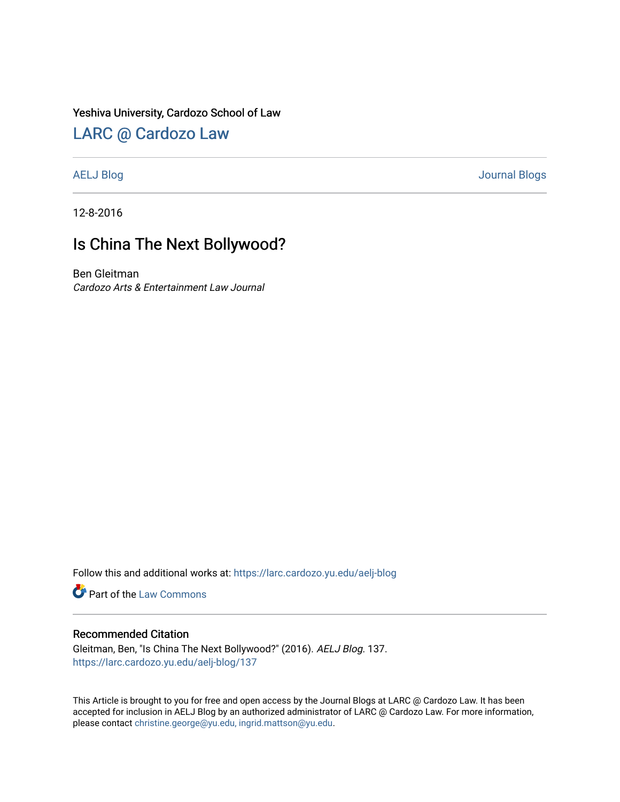### Yeshiva University, Cardozo School of Law

# [LARC @ Cardozo Law](https://larc.cardozo.yu.edu/)

[AELJ Blog](https://larc.cardozo.yu.edu/aelj-blog) [Journal Blogs](https://larc.cardozo.yu.edu/journal-blogs) 

12-8-2016

# Is China The Next Bollywood?

Ben Gleitman Cardozo Arts & Entertainment Law Journal

Follow this and additional works at: [https://larc.cardozo.yu.edu/aelj-blog](https://larc.cardozo.yu.edu/aelj-blog?utm_source=larc.cardozo.yu.edu%2Faelj-blog%2F137&utm_medium=PDF&utm_campaign=PDFCoverPages) 

Part of the [Law Commons](http://network.bepress.com/hgg/discipline/578?utm_source=larc.cardozo.yu.edu%2Faelj-blog%2F137&utm_medium=PDF&utm_campaign=PDFCoverPages)

#### Recommended Citation

Gleitman, Ben, "Is China The Next Bollywood?" (2016). AELJ Blog. 137. [https://larc.cardozo.yu.edu/aelj-blog/137](https://larc.cardozo.yu.edu/aelj-blog/137?utm_source=larc.cardozo.yu.edu%2Faelj-blog%2F137&utm_medium=PDF&utm_campaign=PDFCoverPages) 

This Article is brought to you for free and open access by the Journal Blogs at LARC @ Cardozo Law. It has been accepted for inclusion in AELJ Blog by an authorized administrator of LARC @ Cardozo Law. For more information, please contact [christine.george@yu.edu, ingrid.mattson@yu.edu.](mailto:christine.george@yu.edu,%20ingrid.mattson@yu.edu)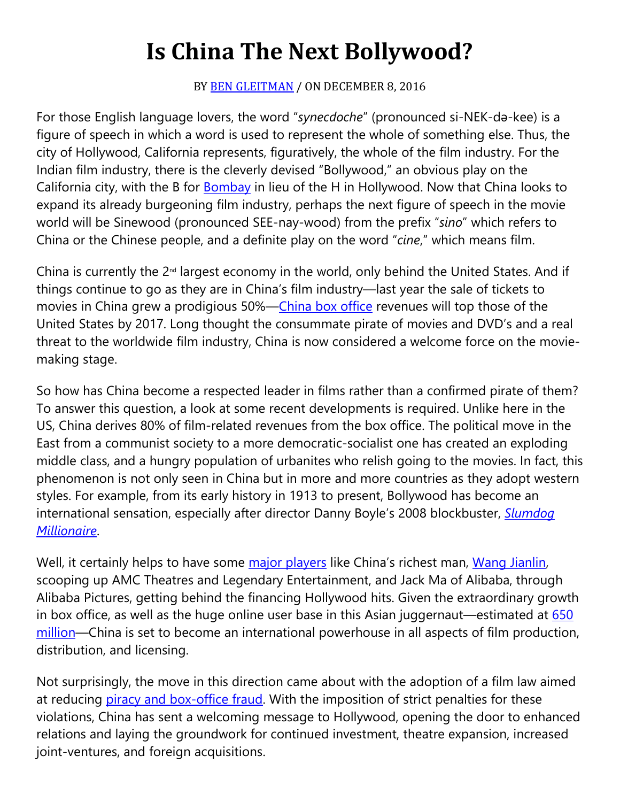# **Is China The Next Bollywood?**

## BY **[BEN GLEITMAN](https://cardozoaelj.com/author/ben-gleitman/)** / ON DECEMBER 8, 2016

For those English language lovers, the word "*synecdoche*" (pronounced si-NEK-də-kee) is a figure of speech in which a word is used to represent the whole of something else. Thus, the city of Hollywood, California represents, figuratively, the whole of the film industry. For the Indian film industry, there is the cleverly devised "Bollywood," an obvious play on the California city, with the B for [Bombay](http://worldfilm.about.com/od/bollywood/a/historyofbollywood.htm) in lieu of the H in Hollywood. Now that China looks to expand its already burgeoning film industry, perhaps the next figure of speech in the movie world will be Sinewood (pronounced SEE-nay-wood) from the prefix "*sino*" which refers to China or the Chinese people, and a definite play on the word "*cine*," which means film.

China is currently the  $2<sup>nd</sup>$  largest economy in the world, only behind the United States. And if things continue to go as they are in China's film industry—last year the sale of tickets to movies in China grew a prodigious 50%[—China box office](http://www.wipo.int/wipo_magazine/en/2016/02/article_0004.html) revenues will top those of the United States by 2017. Long thought the consummate pirate of movies and DVD's and a real threat to the worldwide film industry, China is now considered a welcome force on the moviemaking stage.

So how has China become a respected leader in films rather than a confirmed pirate of them? To answer this question, a look at some recent developments is required. Unlike here in the US, China derives 80% of film-related revenues from the box office. The political move in the East from a communist society to a more democratic-socialist one has created an exploding middle class, and a hungry population of urbanites who relish going to the movies. In fact, this phenomenon is not only seen in China but in more and more countries as they adopt western styles. For example, from its early history in 1913 to present, Bollywood has become an international sensation, especially after director Danny Boyle's 2008 blockbuster, *[Slumdog](http://movies.about.com/od/slumdogmillionaire/fr/slumdog-review.htm) [Millionaire](http://movies.about.com/od/slumdogmillionaire/fr/slumdog-review.htm)*.

Well, it certainly helps to have some [major players](http://www.forbes.com/sites/adamfaze/2016/04/17/china-refueling-film-industry/#7cae6d5438ae) like China's richest man, [Wang Jianlin,](http://www.wsj.com/articles/chinas-richest-man-makes-his-move-on-hollywood-1475256816) scooping up AMC Theatres and Legendary Entertainment, and Jack Ma of Alibaba, through Alibaba Pictures, getting behind the financing Hollywood hits. Given the extraordinary growth in box office, as well as the huge online user base in this Asian juggernaut—estimated at  $650$ [million—](http://www.wipo.int/wipo_magazine/en/2016/02/article_0004.html)China is set to become an international powerhouse in all aspects of film production, distribution, and licensing.

Not surprisingly, the move in this direction came about with the adoption of a film law aimed at reducing [piracy and box-office fraud.](http://www.hollywoodreporter.com/news/china-adopts-film-law-mixed-implications-hollywood-945214) With the imposition of strict penalties for these violations, China has sent a welcoming message to Hollywood, opening the door to enhanced relations and laying the groundwork for continued investment, theatre expansion, increased joint-ventures, and foreign acquisitions.